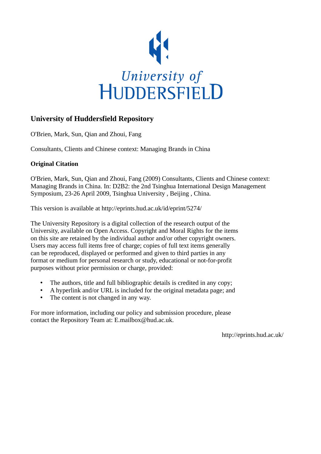

# **University of Huddersfield Repository**

O'Brien, Mark, Sun, Qian and Zhoui, Fang

Consultants, Clients and Chinese context: Managing Brands in China

## **Original Citation**

O'Brien, Mark, Sun, Qian and Zhoui, Fang (2009) Consultants, Clients and Chinese context: Managing Brands in China. In: D2B2: the 2nd Tsinghua International Design Management Symposium, 23-26 April 2009, Tsinghua University , Beijing , China.

This version is available at http://eprints.hud.ac.uk/id/eprint/5274/

The University Repository is a digital collection of the research output of the University, available on Open Access. Copyright and Moral Rights for the items on this site are retained by the individual author and/or other copyright owners. Users may access full items free of charge; copies of full text items generally can be reproduced, displayed or performed and given to third parties in any format or medium for personal research or study, educational or not-for-profit purposes without prior permission or charge, provided:

- The authors, title and full bibliographic details is credited in any copy;
- A hyperlink and/or URL is included for the original metadata page; and
- The content is not changed in any way.

For more information, including our policy and submission procedure, please contact the Repository Team at: E.mailbox@hud.ac.uk.

http://eprints.hud.ac.uk/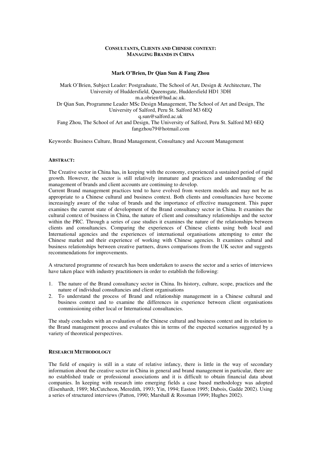## **CONSULTANTS, CLIENTS AND CHINESE CONTEXT: MANAGING BRANDS IN CHINA**

## **Mark O'Brien, Dr Qian Sun & Fang Zhou**

Mark O'Brien, Subject Leader: Postgraduate, The School of Art, Design & Architecture, The University of Huddersfield, Queensgate, Huddersfield HD1 3DH m.a.obrien@hud.ac.uk. Dr Qian Sun, Programme Leader MSc Design Management, The School of Art and Design, The University of Salford, Peru St. Salford M3 6EQ q.sun@salford.ac.uk Fang Zhou, The School of Art and Design, The University of Salford, Peru St. Salford M3 6EQ fangzhou79@hotmail.com

Keywords: Business Culture, Brand Management, Consultancy and Account Management

## **ABSTRACT:**

The Creative sector in China has, in keeping with the economy, experienced a sustained period of rapid growth. However, the sector is still relatively immature and practices and understanding of the management of brands and client accounts are continuing to develop.

Current Brand management practices tend to have evolved from western models and may not be as appropriate to a Chinese cultural and business context. Both clients and consultancies have become increasingly aware of the value of brands and the importance of effective management. This paper examines the current state of development of the Brand consultancy sector in China. It examines the cultural context of business in China, the nature of client and consultancy relationships and the sector within the PRC. Through a series of case studies it examines the nature of the relationships between clients and consultancies. Comparing the experiences of Chinese clients using both local and International agencies and the experiences of international organisations attempting to enter the Chinese market and their experience of working with Chinese agencies. It examines cultural and business relationships between creative partners, draws comparisons from the UK sector and suggests recommendations for improvements.

A structured programme of research has been undertaken to assess the sector and a series of interviews have taken place with industry practitioners in order to establish the following:

- 1. The nature of the Brand consultancy sector in China. Its history, culture, scope, practices and the nature of individual consultancies and client organisations
- 2. To understand the process of Brand and relationship management in a Chinese cultural and business context and to examine the differences in experience between client organisations commissioning either local or International consultancies.

The study concludes with an evaluation of the Chinese cultural and business context and its relation to the Brand management process and evaluates this in terms of the expected scenarios suggested by a variety of theoretical perspectives.

## **RESEARCH METHODOLOGY**

The field of enquiry is still in a state of relative infancy, there is little in the way of secondary information about the creative sector in China in general and brand management in particular, there are no established trade or professional associations and it is difficult to obtain financial data about companies. In keeping with research into emerging fields a case based methodology was adopted (Eisenhardt, 1989; McCutcheon, Meredith, 1993; Yin, 1994; Easton 1995; Dubois, Gadde 2002). Using a series of structured interviews (Patton, 1990; Marshall & Rossman 1999; Hughes 2002).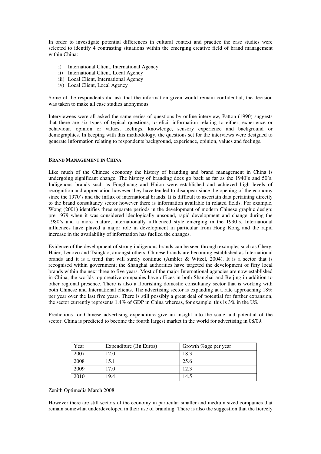In order to investigate potential differences in cultural context and practice the case studies were selected to identify 4 contrasting situations within the emerging creative field of brand management within China:

- i) International Client, International Agency
- ii) International Client, Local Agency
- iii) Local Client, International Agency
- iv) Local Client, Local Agency

Some of the respondents did ask that the information given would remain confidential, the decision was taken to make all case studies anonymous.

Interviewees were all asked the same series of questions by online interview, Patton (1990) suggests that there are six types of typical questions, to elicit information relating to either; experience or behaviour, opinion or values, feelings, knowledge, sensory experience and background or demographics. In keeping with this methodology, the questions set for the interviews were designed to generate information relating to respondents background, experience, opinion, values and feelings.

## **BRAND MANAGEMENT IN CHINA**

Like much of the Chinese economy the history of branding and brand management in China is undergoing significant change. The history of branding does go back as far as the 1940's and 50's. Indigenous brands such as Fonghuang and Haiou were established and achieved high levels of recognition and appreciation however they have tended to disappear since the opening of the economy since the 1970's and the influx of international brands. It is difficult to ascertain data pertaining directly to the brand consultancy sector however there is information available in related fields. For example, Wong (2001) identifies three separate periods in the development of modern Chinese graphic design: pre 1979 when it was considered ideologically unsound, rapid development and change during the 1980's and a more mature, internationally influenced style emerging in the 1990's. International influences have played a major role in development in particular from Hong Kong and the rapid increase in the availability of information has fuelled the changes.

Evidence of the development of strong indigenous brands can be seen through examples such as Chery, Haier, Lenovo and Tsingtao, amongst others. Chinese brands are becoming established as International brands and it is a trend that will surely continue (Ambler & Witzel, 2004). It is a sector that is recognised within government; the Shanghai authorities have targeted the development of fifty local brands within the next three to five years. Most of the major International agencies are now established in China, the worlds top creative companies have offices in both Shanghai and Beijing in addition to other regional presence. There is also a flourishing domestic consultancy sector that is working with both Chinese and International clients. The advertising sector is expanding at a rate approaching 18% per year over the last five years. There is still possibly a great deal of potential for further expansion, the sector currently represents 1.4% of GDP in China whereas, for example, this is 3% in the US.

Predictions for Chinese advertising expenditure give an insight into the scale and potential of the sector. China is predicted to become the fourth largest market in the world for advertising in 08/09.

| Year | Expenditure (Bn Euros) | Growth %age per year |  |
|------|------------------------|----------------------|--|
| 2007 | 12.0                   | 18.3                 |  |
| 2008 | 15.1                   | 25.6                 |  |
| 2009 | 17.0                   | 12.3                 |  |
| 2010 | 19.4                   | 14.5                 |  |

#### Zenith Optimedia March 2008

However there are still sectors of the economy in particular smaller and medium sized companies that remain somewhat underdeveloped in their use of branding. There is also the suggestion that the fiercely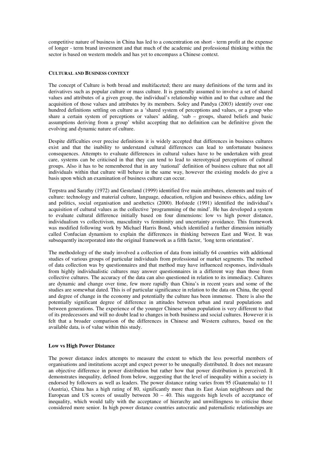competitive nature of business in China has led to a concentration on short - term profit at the expense of longer - term brand investment and that much of the academic and professional thinking within the sector is based on western models and has yet to encompass a Chinese context.

#### **CULTURAL AND BUSINESS CONTEXT**

The concept of Culture is both broad and multifaceted; there are many definitions of the term and its derivatives such as popular culture or mass culture. It is generally assumed to involve a set of shared values and attributes of a given group, the individual's relationship within and to that culture and the acquisition of those values and attributes by its members. Soley and Pandya (2003) identify over one hundred definitions settling on culture as a 'shared system of perceptions and values, or a group who share a certain system of perceptions or values' adding, 'sub – groups, shared beliefs and basic assumptions deriving from a group' whilst accepting that no definition can be definitive given the evolving and dynamic nature of culture.

Despite difficulties over precise definitions it is widely accepted that differences in business cultures exist and that the inability to understand cultural differences can lead to unfortunate business consequences. Attempts to evaluate differences in cultural values have to be undertaken with great care, systems can be criticised in that they can tend to lead to stereotypical perceptions of cultural groups. Also it has to be remembered that in any 'national' definition of business culture that not all individuals within that culture will behave in the same way, however the existing models do give a basis upon which an examination of business culture can occur.

Terpstra and Sarathy (1972) and Gesteland (1999) identified five main attributes, elements and traits of culture: technology and material culture, language, education, religion and business ethics, adding law and politics, social organisation and aesthetics (2000). Hofstede (1991) identified the individual's acquisition of cultural values as the collective 'programming of the mind'. He has developed a system to evaluate cultural difference initially based on four dimensions: low vs high power distance, individualism vs collectivism, masculinity vs femininity and uncertainty avoidance. This framework was modified following work by Michael Harris Bond, which identified a further dimension initially called Confucian dynamism to explain the differences in thinking between East and West. It was subsequently incorporated into the original framework as a fifth factor, 'long term orientation'.

The methodology of the study involved a collection of data from initially 64 countries with additional studies of various groups of particular individuals from professional or market segments. The method of data collection was by questionnaires and that method may have influenced responses, individuals from highly individualistic cultures may answer questionnaires in a different way than those from collective cultures. The accuracy of the data can also questioned in relation to its immediacy. Cultures are dynamic and change over time, few more rapidly than China's in recent years and some of the studies are somewhat dated. This is of particular significance in relation to the data on China, the speed and degree of change in the economy and potentially the culture has been immense. There is also the potentially significant degree of difference in attitudes between urban and rural populations and between generations. The experience of the younger Chinese urban population is very different to that of its predecessors and will no doubt lead to changes in both business and social cultures. However it is felt that a broader comparison of the differences in Chinese and Western cultures, based on the available data, is of value within this study.

## **Low vs High Power Distance**

The power distance index attempts to measure the extent to which the less powerful members of organisations and institutions accept and expect power to be unequally distributed. It does not measure an objective difference in power distribution but rather how that power distribution is perceived. It demonstrates inequality, defined from below, suggesting that the level of inequality within a society is endorsed by followers as well as leaders. The power distance rating varies from 95 (Guatemala) to 11 (Austria), China has a high rating of 80, significantly more than its East Asian neighbours and the European and US scores of usually between  $30 - 40$ . This suggests high levels of acceptance of inequality, which would tally with the acceptance of hierarchy and unwillingness to criticise those considered more senior. In high power distance countries autocratic and paternalistic relationships are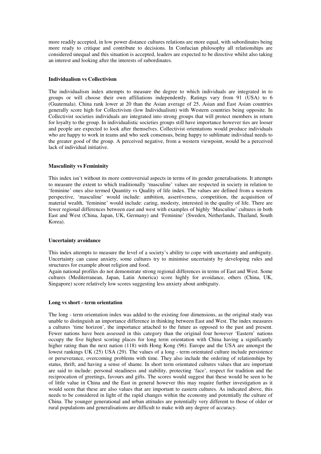more readily accepted, in low power distance cultures relations are more equal, with subordinates being more ready to critique and contribute to decisions. In Confucian philosophy all relationships are considered unequal and this situation is accepted, leaders are expected to be directive whilst also taking an interest and looking after the interests of subordinates.

## **Individualism vs Collectivism**

The individualism index attempts to measure the degree to which individuals are integrated in to groups or will choose their own affiliations independently. Ratings vary from 91 (USA) to 6 (Guatemala). China rank lower at 20 than the Asian average of 25, Asian and East Asian countries generally score high for Collectivism (low Individualism) with Western countries being opposite. In Collectivist societies individuals are integrated into strong groups that will protect members in return for loyalty to the group. In individualistic societies groups still have importance however ties are looser and people are expected to look after themselves. Collectivist orientations would produce individuals who are happy to work in teams and who seek consensus, being happy to sublimate individual needs to the greater good of the group. A perceived negative, from a western viewpoint, would be a perceived lack of individual initiative.

#### **Masculinity vs Femininity**

This index isn't without its more controversial aspects in terms of its gender generalisations. It attempts to measure the extent to which traditionally 'masculine' values are respected in society in relation to 'feminine' ones also termed Quantity vs Quality of life index. The values are defined from a western perspective, 'masculine' would include: ambition, assertiveness, competition, the acquisition of material wealth, 'feminine' would include: caring, modesty, interested in the quality of life. There are fewer regional differences between east and west with examples of highly 'Masculine' cultures in both East and West (China, Japan, UK, Germany) and 'Feminine' (Sweden, Netherlands, Thailand, South Korea).

#### **Uncertainty avoidance**

This index attempts to measure the level of a society's ability to cope with uncertainty and ambiguity. Uncertainty can cause anxiety, some cultures try to minimise uncertainty by developing rules and structures for example about religion and food.

Again national profiles do not demonstrate strong regional differences in terms of East and West. Some cultures (Mediterranean, Japan, Latin America) score highly for avoidance, others (China, UK, Singapore) score relatively low scores suggesting less anxiety about ambiguity.

#### **Long vs short - term orientation**

The long - term orientation index was added to the existing four dimensions, as the original study was unable to distinguish an importance difference in thinking between East and West. The index measures a cultures 'time horizon', the importance attached to the future as opposed to the past and present. Fewer nations have been assessed in this category than the original four however 'Eastern' nations occupy the five highest scoring places for long term orientation with China having a significantly higher rating than the next nation (118) with Hong Kong (96). Europe and the USA are amongst the lowest rankings UK (25) USA (29). The values of a long - term orientated culture include persistence or perseverance, overcoming problems with time. They also include the ordering of relationships by status, thrift, and having a sense of shame. In short term orientated cultures values that are important are said to include: personal steadiness and stability, protecting 'face', respect for tradition and the reciprocation of greetings, favours and gifts. The scores would suggest that these would be seen to be of little value in China and the East in general however this may require further investigation as it would seem that these are also values that are important to eastern cultures. As indicated above, this needs to be considered in light of the rapid changes within the economy and potentially the culture of China. The younger generational and urban attitudes are potentially very different to those of older or rural populations and generalisations are difficult to make with any degree of accuracy.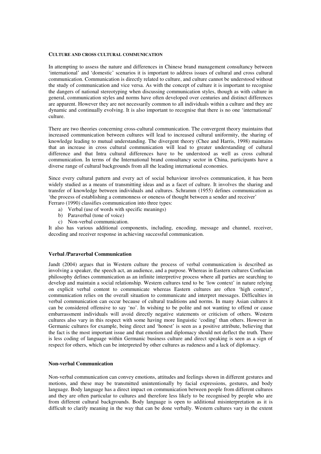#### **CULTURE AND CROSS CULTURAL COMMUNICATION**

In attempting to assess the nature and differences in Chinese brand management consultancy between 'international' and 'domestic' scenarios it is important to address issues of cultural and cross cultural communication. Communication is directly related to culture, and culture cannot be understood without the study of communication and vice versa. As with the concept of culture it is important to recognise the dangers of national stereotyping when discussing communication styles, though as with culture in general, communication styles and norms have often developed over centuries and distinct differences are apparent. However they are not necessarily common to all individuals within a culture and they are dynamic and continually evolving. It is also important to recognise that there is no one 'international' culture.

There are two theories concerning cross-cultural communication. The convergent theory maintains that increased communication between cultures will lead to increased cultural uniformity, the sharing of knowledge leading to mutual understanding. The divergent theory (Chee and Harris, 1998) maintains that an increase in cross cultural communication will lead to greater understanding of cultural difference and that Intra cultural differences have to be understood as well as cross cultural communication. In terms of the International brand consultancy sector in China, participants have a diverse range of cultural backgrounds from all the leading international economies.

Since every cultural pattern and every act of social behaviour involves communication, it has been widely studied as a means of transmitting ideas and as a facet of culture. It involves the sharing and transfer of knowledge between individuals and cultures. Schramm (1955) defines communication as 'the process of establishing a commonness or oneness of thought between a sender and receiver'

Ferraro (1990*)* classifies communication into three types:

- a) Verbal (use of words with specific meanings)
- b) Paraverbal (tone of voice)
- c) Non-verbal communication.

It also has various additional components, including, encoding, message and channel, receiver, decoding and receiver response in achieving successful communication.

#### **Verbal /Paraverbal Communication**

Jandt (2004) argues that in Western culture the process of verbal communication is described as involving a speaker, the speech act, an audience, and a purpose. Whereas in Eastern cultures Confucian philosophy defines communication as an infinite interpretive process where all parties are searching to develop and maintain a social relationship*.* Western cultures tend to be 'low context' in nature relying on explicit verbal content to communicate whereas Eastern cultures are often 'high context', communication relies on the overall situation to communicate and interpret messages. Difficulties in verbal communication can occur because of cultural traditions and norms. In many Asian cultures it can be considered offensive to say 'no'. In wishing to be polite and not wanting to offend or cause embarrassment individuals will avoid directly negative statements or criticism of others. Western cultures also vary in this respect with some having more linguistic 'coding' than others. However in Germanic cultures for example, being direct and 'honest' is seen as a positive attribute, believing that the fact is the most important issue and that emotion and diplomacy should not deflect the truth. There is less coding of language within Germanic business culture and direct speaking is seen as a sign of respect for others, which can be interpreted by other cultures as rudeness and a lack of diplomacy.

## **Non-verbal Communication**

Non-verbal communication can convey emotions, attitudes and feelings shown in different gestures and motions, and these may be transmitted unintentionally by facial expressions, gestures, and body language. Body language has a direct impact on communication between people from different cultures and they are often particular to cultures and therefore less likely to be recognised by people who are from different cultural backgrounds. Body language is open to additional misinterpretation as it is difficult to clarify meaning in the way that can be done verbally. Western cultures vary in the extent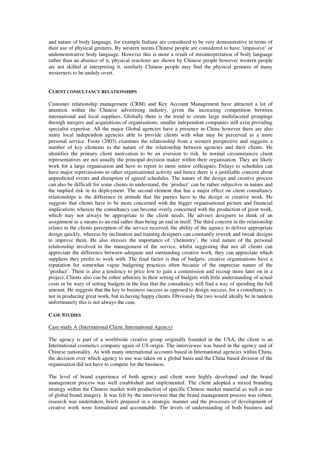and nature of body language, for example Italians are considered to be very demonstrative in terms of their use of physical gestures. By western norms Chinese people are considered to have 'impassive' or undemonstrative body language. However this is more a result of misinterpretation of body language rather than an absence of it, physical reactions are shown by Chinese people however western people are not skilled at interpreting it, similarly Chinese people may find the physical gestures of many westerners to be unduly overt.

## **CLIENT CONSULTANCY RELATIONSHIPS**

Customer relationship management (CRM) and Key Account Management have attracted a lot of attention within the Chinese advertising industry, given the increasing competition between international and local suppliers. Globally there is the trend to create large multifaceted groupings through mergers and acquisitions of organisations, smaller independent companies still exist providing specialist expertise. All the major Global agencies have a presence in China however there are also many local independent agencies able to provide clients with what may be perceived as a more personal service. Foote (2003) examines the relationship from a western perspective and suggests a number of key elements to the nature of the relationship between agencies and their clients. He identifies the primary client motivation to be an aversion to risk. In normal circumstances client representatives are not usually the principal decision maker within their organisation. They are likely work for a large organisation and have to report to more senior colleagues. Delays to schedules can have major repercussions to other organisational activity and hence there is a justifiable concern about unpredicted events and disruption of agreed schedules. The nature of the design and creative process can also be difficult for some clients to understand, the 'product' can be rather subjective in nature and the implied risk in its deployment. The second element that has a major effect on client consultancy relationships is the difference in attitude that the parties have to the design or creative work. He suggests that clients have to be more concerned with the bigger organisational picture and financial implications whereas the consultancy can become overly concerned with the production of great work, which may not always be appropriate to the client needs. He advises designers to think of an assignment as a means to an end rather than being an end in itself. The third concern in the relationship relates to the clients perception of the service received, the ability of the agency to deliver appropriate design quickly, whereas by inclination and training designers can constantly rework and tweak designs to improve them. He also stresses the importance of 'chemistry', the vital nature of the personal relationship involved in the management of the service, whilst suggesting that not all clients can appreciate the difference between adequate and outstanding creative work, they can appreciate which suppliers they prefer to work with. The final factor is that of budgets, creative organisations have a reputation for somewhat vague budgeting practices often because of the imprecise nature of the 'product'. There is also a tendency to price low to gain a commission and recoup more later on in a project. Clients also can be either arbitrary in their setting of budgets with little understanding of actual costs or be wary of setting budgets in the fear that the consultancy will find a way of spending the full amount. He suggests that the key to business success as opposed to design success, for a consultancy, is not in producing great work, but in having happy clients. Obviously the two would ideally be in tandem unfortunately this is not always the case.

## **CASE STUDIES**

## Case study A (International Client, International Agency)

The agency is part of a worldwide creative group originally founded in the USA, the client is an International cosmetics company again of US origin. The interviewee was based in the agency and of Chinese nationality. As with many international accounts based in International agencies within China, the decision over which agency to use was taken on a global basis and the China based division of the organisation did not have to compete for the business.

The level of brand experience of both agency and client were highly developed and the brand management process was well established and implemented. The client adopted a mixed branding strategy within the Chinese market with production of specific Chinese market material as well as use of global brand imagery. It was felt by the interviewee that the brand management process was robust, research was undertaken, briefs prepared in a strategic manner and the processes of development of creative work were formalised and accountable. The levels of understanding of both business and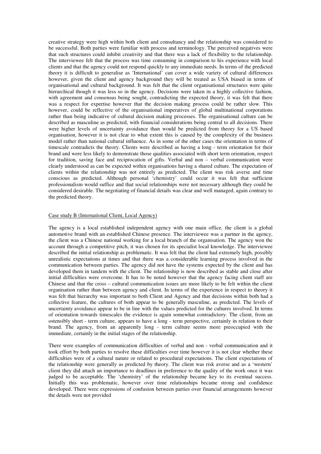creative strategy were high within both client and consultancy and the relationship was considered to be successful. Both parties were familiar with process and terminology. The perceived negatives were that such structures could inhibit creativity and that there was a lack of flexibility to the relationship. The interviewee felt that the process was time consuming in comparison to his experience with local clients and that the agency could not respond quickly to any immediate needs. In terms of the predicted theory it is difficult to generalise as 'International' can cover a wide variety of cultural differences however, given the client and agency background they will be treated as USA biased in terms of organisational and cultural background. It was felt that the client organisational structures were quite hierarchical though it was less so in the agency. Decisions were taken in a highly collective fashion, with agreement and consensus being sought, contradicting the expected theory, it was felt that there was a respect for expertise however that the decision making process could be rather slow. This however, could be reflective of the organisational imperatives of global multinational corporations rather than being indicative of cultural decision making processes. The organisational culture can be described as masculine as predicted, with financial considerations being central to all decisions. There were higher levels of uncertainty avoidance than would be predicted from theory for a US based organisation, however it is not clear to what extent this is caused by the complexity of the business model rather than national cultural influence. As in some of the other cases the orientation in terms of timescale contradicts the theory. Clients were described as having a long - term orientation for their brand and were less likely to demonstrate those qualities associated with short term orientation, respect for tradition, saving face and reciprocation of gifts. Verbal and non – verbal communication were clearly understood as can be expected within organisations having a shared culture. The expectation of clients within the relationship was not entirely as predicted. The client was risk averse and time conscious as predicted. Although personal 'chemistry' could occur it was felt that sufficient professionalism would suffice and that social relationships were not necessary although they could be considered desirable. The negotiating of financial details was clear and well managed, again contrary to the predicted theory.

## Case study B (International Client, Local Agency)

The agency is a local established independent agency with one main office, the client is a global automotive brand with an established Chinese presence. The interviewee was a partner in the agency, the client was a Chinese national working for a local branch of the organisation. The agency won the account through a competitive pitch, it was chosen for its specialist local knowledge. The interviewee described the initial relationship as problematic. It was felt that the client had extremely high, possibly unrealistic expectations at times and that there was a considerable learning process involved in the communication between parties. The agency did not have the systems expected by the client and has developed them in tandem with the client. The relationship is now described as stable and close after initial difficulties were overcome. It has to be noted however that the agency facing client staff are Chinese and that the cross – cultural communication issues are more likely to be felt within the client organisation rather than between agency and client. In terms of the experience in respect to theory it was felt that hierarchy was important to both Client and Agency and that decisions within both had a collective feature, the cultures of both appear to be generally masculine, as predicted. The levels of uncertainty avoidance appear to be in line with the values predicted for the cultures involved. In terms of orientation towards timescales the evidence is again somewhat contradictory. The client, from an ostensibly short - term culture, appears to have a long - term perspective, certainly in relation to their brand. The agency, from an apparently long - term culture seems more preoccupied with the immediate, certainly in the initial stages of the relationship.

There were examples of communication difficulties of verbal and non - verbal communication and it took effort by both parties to resolve these difficulties over time however it is not clear whether these difficulties were of a cultural nature or related to procedural expectations. The client expectations of the relationship were generally as predicted by theory. The client was risk averse and as a 'western' client they did attach an importance to deadlines in preference to the quality of the work once it was judged to be acceptable. The 'chemistry' of the relationship became key to its eventual success. Initially this was problematic, however over time relationships became strong and confidence developed. There were expressions of confusion between parties over financial arrangements however the details were not provided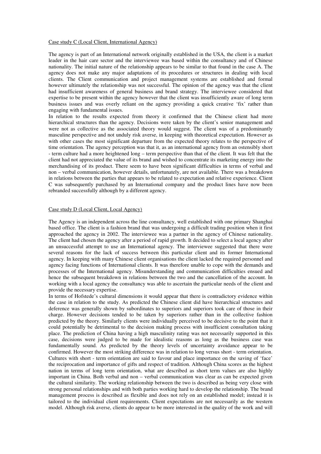#### Case study C (Local Client, International Agency)

The agency is part of an International network originally established in the USA, the client is a market leader in the hair care sector and the interviewee was based within the consultancy and of Chinese nationality. The initial nature of the relationship appears to be similar to that found in the case A. The agency does not make any major adaptations of its procedures or structures in dealing with local clients. The Client communication and project management systems are established and formal however ultimately the relationship was not successful. The opinion of the agency was that the client had insufficient awareness of general business and brand strategy. The interviewee considered that expertise to be present within the agency however that the client was insufficiently aware of long term business issues and was overly reliant on the agency providing a quick creative 'fix' rather than engaging with fundamental issues.

In relation to the results expected from theory it confirmed that the Chinese client had more hierarchical structures than the agency. Decisions were taken by the client's senior management and were not as collective as the associated theory would suggest. The client was of a predominantly masculine perspective and not unduly risk averse, in keeping with theoretical expectation. However as with other cases the most significant departure from the expected theory relates to the perspective of time orientation. The agency perception was that it, as an international agency from an ostensibly short - term culture had a more heightened long – term perspective than that of the client. It was felt that the client had not appreciated the value of its brand and wished to concentrate its marketing energy into the merchandising of its product. There seem to have been significant difficulties in terms of verbal and non – verbal communication, however details, unfortunately, are not available. There was a breakdown in relations between the parties that appears to be related to expectation and relative experience. Client C was subsequently purchased by an International company and the product lines have now been rebranded successfully although by a different agency.

## Case study D (Local Client, Local Agency)

The Agency is an independent across the line consultancy, well established with one primary Shanghai based office. The client is a fashion brand that was undergoing a difficult trading position when it first approached the agency in 2002. The interviewee was a partner in the agency of Chinese nationality. The client had chosen the agency after a period of rapid growth. It decided to select a local agency after an unsuccessful attempt to use an International agency. The interviewee suggested that there were several reasons for the lack of success between this particular client and its former International agency. In keeping with many Chinese client organisations the client lacked the required personnel and agency facing functions of International clients. It was therefore unable to cope with the demands and processes of the International agency. Misunderstanding and communication difficulties ensued and hence the subsequent breakdown in relations between the two and the cancellation of the account. In working with a local agency the consultancy was able to ascertain the particular needs of the client and provide the necessary expertise.

In terms of Hofstede's cultural dimensions it would appear that there is contradictory evidence within the case in relation to the study. As predicted the Chinese client did have hierarchical structures and deference was generally shown by subordinates to superiors and superiors took care of those in their charge. However decisions tended to be taken by superiors rather than in the collective fashion predicted by the theory. Similarly clients were individually perceived to be decisive to the point that it could potentially be detrimental to the decision making process with insufficient consultation taking place. The prediction of China having a high masculinity rating was not necessarily supported in this case, decisions were judged to be made for idealistic reasons as long as the business case was fundamentally sound. As predicted by the theory levels of uncertainty avoidance appear to be confirmed. However the most striking difference was in relation to long versus short - term orientation. Cultures with short - term orientation are said to favour and place importance on the saving of 'face' the reciprocation and importance of gifts and respect of tradition. Although China scores as the highest nation in terms of long term orientation, what are described as short term values are also highly important in China. Both verbal and non – verbal communication was clear as can be expected given the cultural similarity. The working relationship between the two is described as being very close with strong personal relationships and with both parties working hard to develop the relationship. The brand management process is described as flexible and does not rely on an established model; instead it is tailored to the individual client requirements. Client expectations are not necessarily as the western model. Although risk averse, clients do appear to be more interested in the quality of the work and will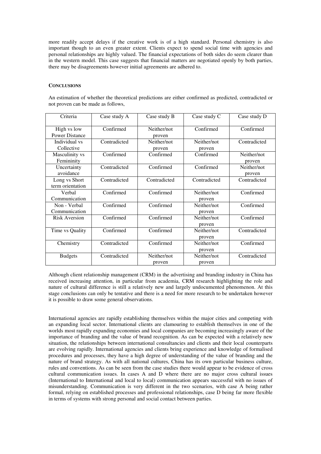more readily accept delays if the creative work is of a high standard. Personal chemistry is also important though to an even greater extent. Clients expect to spend social time with agencies and personal relationships are highly valued. The financial expectations of both sides do seem clearer than in the western model. This case suggests that financial matters are negotiated openly by both parties, there may be disagreements however initial agreements are adhered to.

## **CONCLUSIONS**

An estimation of whether the theoretical predictions are either confirmed as predicted, contradicted or not proven can be made as follows,

| Criteria                             | Case study A | Case study B          | Case study C          | Case study D          |
|--------------------------------------|--------------|-----------------------|-----------------------|-----------------------|
| High vs low<br><b>Power Distance</b> | Confirmed    | Neither/not<br>proven | Confirmed             | Confirmed             |
| Individual vs<br>Collective          | Contradicted | Neither/not<br>proven | Neither/not<br>proven | Contradicted          |
| Masculinity vs<br>Femininity         | Confirmed    | Confirmed             | Confirmed             | Neither/not<br>proven |
| Uncertainty<br>avoidance             | Contradicted | Confirmed             | Confirmed             | Neither/not<br>proven |
| Long vs Short<br>term orientation    | Contradicted | Contradicted          | Contradicted          | Contradicted          |
| Verbal<br>Communication              | Confirmed    | Confirmed             | Neither/not<br>proven | Confirmed             |
| Non - Verbal<br>Communication        | Confirmed    | Confirmed             | Neither/not<br>proven | Confirmed             |
| Risk Aversion                        | Confirmed    | Confirmed             | Neither/not<br>proven | Confirmed             |
| Time vs Quality                      | Confirmed    | Confirmed             | Neither/not<br>proven | Contradicted          |
| Chemistry                            | Contradicted | Confirmed             | Neither/not<br>proven | Confirmed             |
| <b>Budgets</b>                       | Contradicted | Neither/not<br>proven | Neither/not<br>proven | Contradicted          |

Although client relationship management (CRM) in the advertising and branding industry in China has received increasing attention, in particular from academia, CRM research highlighting the role and nature of cultural difference is still a relatively new and largely undocumented phenomenon. At this stage conclusions can only be tentative and there is a need for more research to be undertaken however it is possible to draw some general observations.

International agencies are rapidly establishing themselves within the major cities and competing with an expanding local sector. International clients are clamouring to establish themselves in one of the worlds most rapidly expanding economies and local companies are becoming increasingly aware of the importance of branding and the value of brand recognition. As can be expected with a relatively new situation, the relationships between international consultancies and clients and their local counterparts are evolving rapidly. International agencies and clients bring experience and knowledge of formalised procedures and processes, they have a high degree of understanding of the value of branding and the nature of brand strategy. As with all national cultures, China has its own particular business culture, rules and conventions. As can be seen from the case studies there would appear to be evidence of cross cultural communication issues. In cases A and D where there are no major cross cultural issues (International to International and local to local) communication appears successful with no issues of misunderstanding. Communication is very different in the two scenarios, with case A being rather formal, relying on established processes and professional relationships, case D being far more flexible in terms of systems with strong personal and social contact between parties.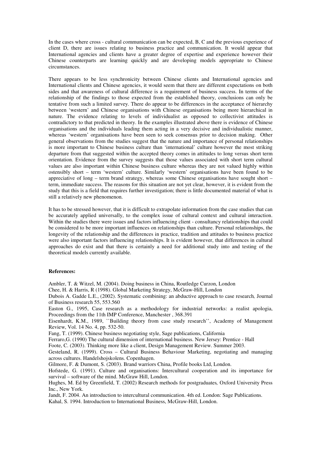In the cases where cross - cultural communication can be expected, B, C and the previous experience of client D, there are issues relating to business practice and communication. It would appear that International agencies and clients have a greater degree of expertise and experience however their Chinese counterparts are learning quickly and are developing models appropriate to Chinese circumstances.

There appears to be less synchronicity between Chinese clients and International agencies and International clients and Chinese agencies, it would seem that there are different expectations on both sides and that awareness of cultural difference is a requirement of business success. In terms of the relationship of the findings to those expected from the established theory, conclusions can only be tentative from such a limited survey. There do appear to be differences in the acceptance of hierarchy between 'western' and Chinese organisations with Chinese organisations being more hierarchical in nature. The evidence relating to levels of individualist as opposed to collectivist attitudes is contradictory to that predicted in theory. In the examples illustrated above there is evidence of Chinese organisations and the individuals leading them acting in a very decisive and individualistic manner, whereas 'western' organisations have been seen to seek consensus prior to decision making. Other general observations from the studies suggest that the nature and importance of personal relationships is more important to Chinese business culture than 'international' culture however the most striking departure from that suggested within the accepted theory comes in attitudes to long versus short term orientation. Evidence from the survey suggests that those values associated with short term cultural values are also important within Chinese business culture whereas they are not valued highly within ostensibly short – term 'western' culture. Similarly 'western' organisations have been found to be appreciative of long – term brand strategy, whereas some Chinese organisations have sought short – term, immediate success. The reasons for this situation are not yet clear, however, it is evident from the study that this is a field that requires further investigation; there is little documented material of what is still a relatively new phenomenon.

It has to be stressed however, that it is difficult to extrapolate information from the case studies that can be accurately applied universally, to the complex issue of cultural context and cultural interaction. Within the studies there were issues and factors influencing client - consultancy relationships that could be considered to be more important influences on relationships than culture. Personal relationships, the longevity of the relationship and the differences in practice, tradition and attitudes to business practice were also important factors influencing relationships. It is evident however, that differences in cultural approaches do exist and that there is certainly a need for additional study into and testing of the theoretical models currently available.

## **References:**

Ambler, T. & Witzel, M. (2004). Doing business in China, Routledge Curzon, London

Chee, H. & Harris, R (1998). Global Marketing Strategy, McGraw-Hill, London

Dubois A. Gadde L.E., (2002). Systematic combining: an abductive approach to case research*,* Journal of Business research 55, 553.560

Easton G., 1995, Case research as a methodology for industrial networks: a realist apologia, Proceedings from the 11th IMP Conference, Manchester , 368.391

Eisenhardt, K.M., 1989, ``Building theory from case study research'', Academy of Management Review, Vol. 14 No. 4, pp. 532-50.

Fang, T. (1999). Chinese business negotiating style, Sage publications, California

Ferraro,G. (1990) The cultural dimension of international business. New Jersey: Prentice - Hall

Foote, C. (2003). Thinking more like a client, Design Management Review. Summer 2003.

Gesteland, R. (1999). Cross – Cultural Business Behaviour Marketing, negotiating and managing across cultures. Handelshojskolens. Copenhagen.

Gilmore, F. & Dumont, S. (2003). Brand warriors China, Profile books Ltd, London.

Hofstede, G. (1991). Culture and organisations: Intercultural cooperation and its importance for survival – software of the mind. McGraw Hill, London.

Hughes, M. Ed by Greenfield, T. (2002) Research methods for postgraduates*,* Oxford University Press Inc., New York.

Jandt, F. 2004. An introduction to intercultural communication. 4th ed. London: Sage Publications.

Kahal, S. 1994. Introduction to International Business, McGraw-Hill, London.